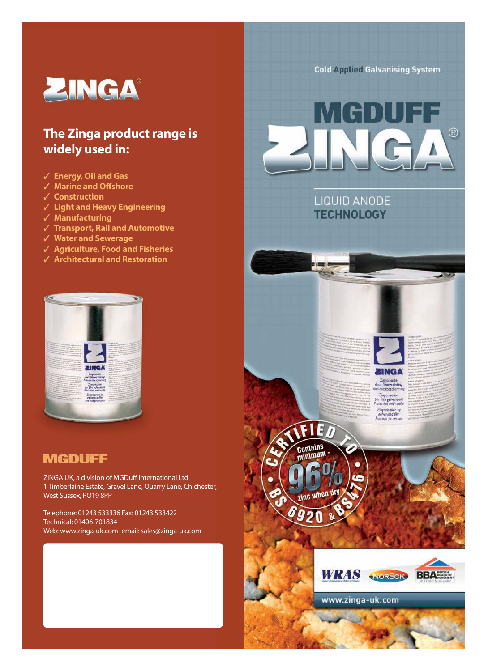

## **The Zinga product range is widely used in:**

- ✓ **Energy, Oil and Gas**
- ✓ **Marine and Offshore**
- ✓ **Construction**
- ✓ **Light and Heavy Engineering**
- ✓ **Manufacturing**
- ✓ **Transport, Rail and Automotive**
- ✓ **Water and Sewerage**
- ✓ **Agriculture, Food and Fisheries**
- ✓ **Architectural and Restoration**



### **MGDUFF**

ZINGA UK, a division of MGDuff International Ltd 1 Timberlaine Estate, Gravel Lane, Quarry Lane, Chichester, West Sussex, PO19 8PP

Telephone: 01243 533336 Fax: 01243 533422 Technical: 01406-701834 Web: www.zinga-uk.com email: sales@zinga-uk.com **Cold Applied Galvanising System** 











www.zinga-uk.com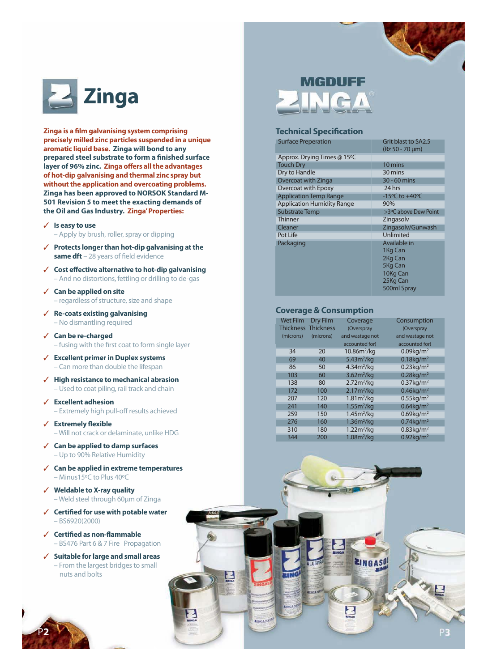

**Zinga is a film galvanising system comprising precisely milled zinc particles suspended in a unique aromatic liquid base. Zinga will bond to any prepared steel substrate to form a finished surface layer of 96% zinc. Zinga offers all the advantages of hot-dip galvanising and thermal zinc spray but without the application and overcoating problems. Zinga has been approved to NORSOK Standard M-501 Revision 5 to meet the exacting demands of the Oil and Gas Industry. Zinga'Properties:**

- ✓ **Is easy to use**
	- Apply by brush, roller, spray or dipping
- ✓ **Protects longer than hot-dip galvanising at the same dft** – 28 years of field evidence
- ✓ **Cost effective alternative to hot-dip galvanising** – And no distortions, fettling or drilling to de-gas
- ✓ **Can be applied on site** – regardless of structure, size and shape
- ✓ **Re-coats existing galvanising** – No dismantling required
- ✓ **Can be re-charged** – fusing with the first coat to form single layer
- ✓ **Excellent primer in Duplex systems** – Can more than double the lifespan
- ✓ **High resistance to mechanical abrasion** – Used to coat piling, rail track and chain
- ✓ **Excellent adhesion** – Extremely high pull-off results achieved
- ✓ **Extremely flexible** – Will not crack or delaminate, unlike HDG
- ✓ **Can be applied to damp surfaces** – Up to 90% Relative Humidity
- ✓ **Can be applied in extreme temperatures** – Minus15ºC to Plus 40ºC
- ✓ **Weldable to X-ray quality** – Weld steel through 60µm of Zinga
- ✓ **Certified for use with potable water** – BS6920(2000)
- ✓ **Certified as non-flammable** – BS476 Part 6 & 7 Fire Propagation
- ✓ **Suitable for large and small areas** – From the largest bridges to small nuts and bolts

P<sub>2</sub>

# MGDUFF **ZINGA**

#### **Technical Specification**

| <b>Surface Preperation</b>        | Grit blast to SA2.5<br>(Rz 50 - 70 µm) |
|-----------------------------------|----------------------------------------|
| Approx. Drying Times @ 15°C       |                                        |
| Touch Dry                         | 10 mins                                |
| Dry to Handle                     | 30 mins                                |
| Overcoat with Zinga               | 30 - 60 mins                           |
| Overcoat with Epoxy               | 24 hrs                                 |
| <b>Application Temp Range</b>     | $-15^{\circ}$ C to $+40^{\circ}$ C     |
| <b>Application Humidity Range</b> | 90%                                    |
| <b>Substrate Temp</b>             | >3°C above Dew Point                   |
| <b>Thinner</b>                    | Zingasolv                              |
| Cleaner                           | Zingasolv/Gunwash                      |
| Pot Life                          | Unlimited                              |
| Packaging                         | Available in                           |
|                                   | 1Kg Can                                |
|                                   | 2Kg Can                                |
|                                   | 5Kg Can                                |
|                                   | 10Kg Can                               |
|                                   | 25Kg Can                               |
|                                   | 500ml Spray                            |

#### **Coverage & Consumption**

| Wet Film                   | <b>Dry Film</b> | Coverage                | Consumption              |
|----------------------------|-----------------|-------------------------|--------------------------|
| <b>Thickness Thickness</b> |                 | (Overspray              | (Overspray               |
| (microns)                  | (microns)       | and wastage not         | and wastage not          |
|                            |                 | accounted for)          | accounted for)           |
| 34                         | 20              | 10.86m <sup>2</sup> /kq | 0.09kg/m <sup>2</sup>    |
| 69                         | 40              | 5.43m <sup>2</sup> /kq  | $0.18$ kg/m <sup>2</sup> |
| 86                         | 50              | 4.34m <sup>2</sup> /kq  | $0.23$ kg/m <sup>2</sup> |
| 103                        | 60              | 3.62m <sup>2</sup> /kg  | $0.28$ kg/m <sup>2</sup> |
| 138                        | 80              | 2.72m <sup>2</sup> /kq  | $0.37$ kg/m <sup>2</sup> |
| 172                        | 100             | 2.17m <sup>2</sup> /kg  | $0.46$ kg/m <sup>2</sup> |
| 207                        | 120             | 1.81m <sup>2</sup> /kq  | $0.55$ kg/m <sup>2</sup> |
| 241                        | 140             | 1.55m <sup>2</sup> /kq  | $0.64$ kg/m <sup>2</sup> |
| 259                        | 150             | 1.45m <sup>2</sup> /kq  | $0.69$ kg/m <sup>2</sup> |
| 276                        | 160             | 1.36m <sup>2</sup> /kq  | $0.74$ kg/m <sup>2</sup> |
| 310                        | 180             | 1.22m <sup>2</sup> /kg  | $0.83$ kg/m <sup>2</sup> |
| 344                        | 200             | 1.08m <sup>2</sup> /kg  | $0.92$ kg/m <sup>2</sup> |
|                            |                 |                         |                          |

**EINGA** 

Е

**RINGA** 

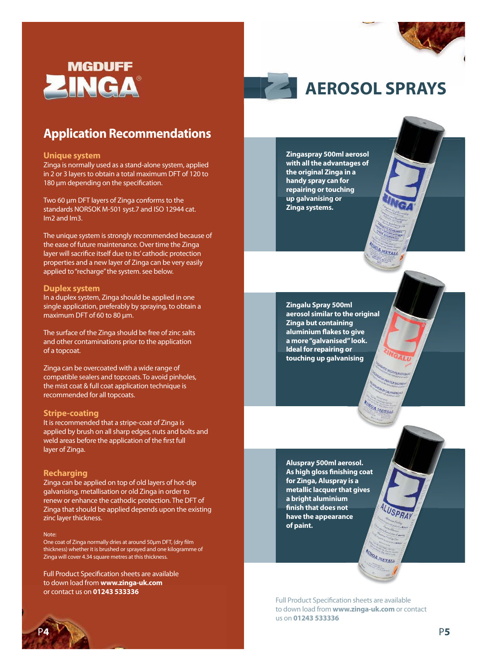

### **Application Recommendations**

#### **Unique system**

Zinga is normally used as a stand-alone system, applied in 2 or 3 layers to obtain a total maximum DFT of 120 to 180 µm depending on the specification.

Two 60 µm DFT layers of Zinga conforms to the standards NORSOK M-501 syst.7 and ISO 12944 cat. Im2 and Im3.

The unique system is strongly recommended because of the ease of future maintenance. Over time the Zinga layer will sacrifice itself due to its'cathodic protection properties and a new layer of Zinga can be very easily applied to "recharge" the system. see below.

#### **Duplex system**

In a duplex system, Zinga should be applied in one single application, preferably by spraying, to obtain a maximum DFT of 60 to 80 µm.

The surface of the Zinga should be free of zinc salts and other contaminations prior to the application of a topcoat.

Zinga can be overcoated with a wide range of compatible sealers and topcoats. To avoid pinholes, the mist coat & full coat application technique is recommended for all topcoats.

#### **Stripe-coating**

It is recommended that a stripe-coat of Zinga is applied by brush on all sharp edges, nuts and bolts and weld areas before the application of the first full layer of Zinga.

#### **Recharging**

Zinga can be applied on top of old layers of hot-dip galvanising, metallisation or old Zinga in order to renew or enhance the cathodic protection. The DFT of Zinga that should be applied depends upon the existing zinc layer thickness.

#### Note:

One coat of Zinga normally dries at around 50µm DFT, (dry film thickness) whether it is brushed or sprayed and one kilogramme of Zinga will cover 4.34 square metres at this thickness.

Full Product Specification sheets are available to down load from**www.zinga-uk.com** or contact us on **0143 533336**



**Zingaspray 500ml aerosol with all the advantages of the original Zinga in a handy spray can for repairing or touching up galvanising or Zinga systems.**

**Zingalu Spray 500ml aerosol similar to the original Zinga but containing aluminium flakes to give a more"galvanised"look. Ideal for repairing or touching up galvanising**

METALL

NGA METALL

**AINGA METALL** 

**Aluspray 500ml aerosol. As high gloss finishing coat for Zinga, Aluspray is a metallic lacquer that gives a bright aluminium finish that does not have the appearance of paint.**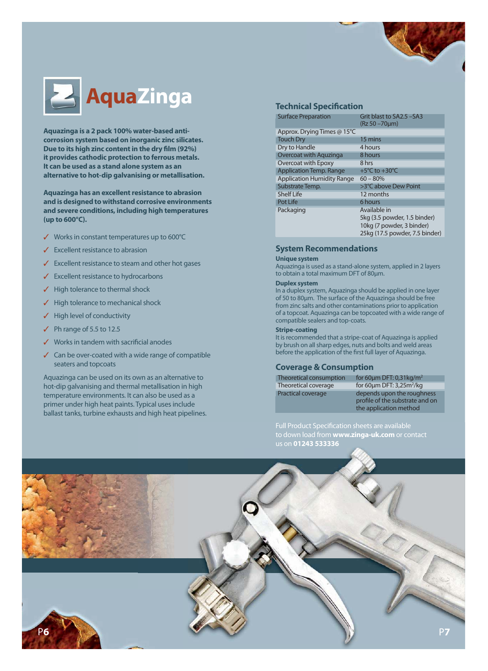

Aquazinga is a 2 pack 100% water-based anti**corrosion system based on inorganic zinc silicates. Due to its high zinc content in the dry film (92%) it provides cathodic protection to ferrous metals. It can be used as a stand alone system as an alternative to hot-dip galvanising or metallisation.**

**Aquazinga has an excellent resistance to abrasion and is designed to withstand corrosive environments and severe conditions, including high temperatures (up to 600°C).**

- ✓ Works in constant temperatures up to 600°C
- ✓ Excellent resistance to abrasion
- Excellent resistance to steam and other hot gases
- ✓ Excellent resistance to hydrocarbons
- ✓ High tolerance to thermal shock
- High tolerance to mechanical shock
- High level of conductivity
- Ph range of 5.5 to 12.5
- Works in tandem with sacrificial anodes
- ✓ Can be over-coated with a wide range of compatible seaters and topcoats

Aquazinga can be used on its own as an alternative to hot-dip galvanising and thermal metallisation in high temperature environments. It can also be used as a primer under high heat paints. Typical uses include ballast tanks, turbine exhausts and high heat pipelines.

| <b>Surface Preparation</b>        | Grit blast to SA2.5 -SA3<br>(Rz 50 -70µm)                 |
|-----------------------------------|-----------------------------------------------------------|
| Approx. Drying Times @ 15°C       |                                                           |
| <b>Touch Dry</b>                  | 15 mins                                                   |
| Dry to Handle                     | 4 hours                                                   |
| Overcoat with Aguzinga            | 8 hours                                                   |
| Overcoat with Epoxy               | 8 hrs                                                     |
| <b>Application Temp. Range</b>    | +5 $\mathrm{°C}$ to +30 $\mathrm{°C}$                     |
| <b>Application Humidity Range</b> | $60 - 80%$                                                |
| Substrate Temp.                   | >3°C above Dew Point                                      |
| <b>Shelf Life</b>                 | 12 months                                                 |
| Pot Life                          | 6 hours                                                   |
| Packaging                         | Available in                                              |
|                                   | 5kg (3.5 powder, 1.5 binder)<br>10kg (7 powder, 3 binder) |
|                                   | 25kg (17.5 powder, 7.5 binder)                            |

#### **System Recommendations**

#### **Unique system**

Aquazinga is used as a stand-alone system, applied in 2 layers to obtain a total maximum DFT of 80µm.

#### **Duplex system**

In a duplex system, Aquazinga should be applied in one layer of 50 to 80µm. The surface of the Aquazinga should be free from zinc salts and other contaminations prior to application of a topcoat. Aquazinga can be topcoated with a wide range of compatible sealers and top-coats.

#### **Stripe-coating**

It is recommended that a stripe-coat of Aquazinga is applied by brush on all sharp edges, nuts and bolts and weld areas before the application of the first full layer of Aquazinga.

#### **Coverage & Consumption**

| Theoretical consumption | for 60 $\mu$ m DFT: 0,31 $\text{kg/m}^2$               |
|-------------------------|--------------------------------------------------------|
| Theoretical coverage    | for 60 $\mu$ m DFT: 3,25m <sup>2</sup> /kg             |
| Practical coverage      | depends upon the rough<br>profile of the substrate are |

FT: 0,31kg/m<sup>2</sup> pon the roughness ne substrate and on the application method

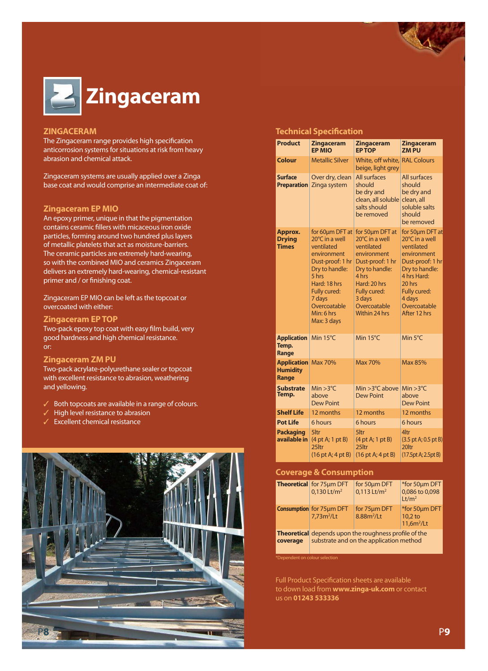

#### **ZINGACERAM**

The Zingaceram range provides high specification anticorrosion systems for situations at risk from heavy abrasion and chemical attack.

Zingaceram systems are usually applied over a Zinga base coat and would comprise an intermediate coat of:

#### **Zingaceram EP MIO**

An epoxy primer, unique in that the pigmentation contains ceramic fillers with micaceous iron oxide particles, forming around two hundred plus layers of metallic platelets that act as moisture-barriers. The ceramic particles are extremely hard-wearing, so with the combined MIO and ceramics Zingaceram delivers an extremely hard-wearing, chemical-resistant primer and / or finishing coat.

Zingaceram EP MIO can be left as the topcoat or overcoated with either:

#### **Zingaceram EP TOP**

Two-pack epoxy top coat with easy film build, very good hardness and high chemical resistance. or:

#### **Zingaceram ZM PU**

Two-pack acrylate-polyurethane sealer or topcoat with excellent resistance to abrasion, weathering and yellowing.

- Both topcoats are available in a range of colours.
- High level resistance to abrasion
- Excellent chemical resistance



#### **Technical Specification**

| <b>Product</b>                                         | <b>Zingaceram</b><br><b>EP MIO</b>                                                                                                                                                                   | <b>Zingaceram</b><br><b>EP TOP</b>                                                                                                                                                       | <b>Zingaceram</b><br><b>ZMPU</b>                                                                                                                                                        |
|--------------------------------------------------------|------------------------------------------------------------------------------------------------------------------------------------------------------------------------------------------------------|------------------------------------------------------------------------------------------------------------------------------------------------------------------------------------------|-----------------------------------------------------------------------------------------------------------------------------------------------------------------------------------------|
| Colour                                                 | <b>Metallic Silver</b>                                                                                                                                                                               | White, off white,<br>beige, light grey                                                                                                                                                   | <b>RAL Colours</b>                                                                                                                                                                      |
| <b>Surface</b><br><b>Preparation</b>                   | Over dry, clean<br>Zinga system                                                                                                                                                                      | All surfaces<br>should<br>be dry and<br>clean, all soluble<br>salts should<br>be removed                                                                                                 | <b>All surfaces</b><br>should<br>be dry and<br>clean, all<br>soluble salts<br>should<br>be removed                                                                                      |
| Approx.<br><b>Drying</b><br><b>Times</b>               | for 60um DFT at<br>20°C in a well<br>ventilated<br>environment<br>Dust-proof: 1 hr<br>Dry to handle:<br>5 hrs<br>Hard: 18 hrs<br>Fully cured:<br>7 days<br>Overcoatable<br>Min: 6 hrs<br>Max: 3 days | for 50um DFT at<br>20°C in a well<br>ventilated<br>environment<br>Dust-proof: 1 hr<br>Dry to handle:<br>4 hrs<br>Hard: 20 hrs<br>Fully cured:<br>3 days<br>Overcoatable<br>Within 24 hrs | for 50um DFT at<br>20°C in a well<br>ventilated<br>environment<br>Dust-proof: 1 hr<br>Dry to handle:<br>4 hrs Hard:<br>20 hrs<br>Fully cured:<br>4 days<br>Overcoatable<br>After 12 hrs |
| <b>Application</b><br>Temp.<br>Range                   | Min 15°C                                                                                                                                                                                             | Min 15°C                                                                                                                                                                                 | Min 5°C                                                                                                                                                                                 |
| <b>Application</b> Max 70%<br><b>Humidity</b><br>Range |                                                                                                                                                                                                      | <b>Max 70%</b>                                                                                                                                                                           | <b>Max 85%</b>                                                                                                                                                                          |
| <b>Substrate</b><br>Temp.                              | $Min > 3^{\circ}C$<br>above<br><b>Dew Point</b>                                                                                                                                                      | Min $>3^{\circ}$ C above<br><b>Dew Point</b>                                                                                                                                             | $Min > 3^{\circ}C$<br>above<br><b>Dew Point</b>                                                                                                                                         |
| <b>Shelf Life</b>                                      | 12 months                                                                                                                                                                                            | 12 months                                                                                                                                                                                | 12 months                                                                                                                                                                               |
| <b>Pot Life</b>                                        | 6 hours                                                                                                                                                                                              | 6 hours                                                                                                                                                                                  | 6 hours                                                                                                                                                                                 |
| <b>Packaging</b><br>available in                       | 5ltr<br>(4 pt A; 1 pt B)<br>25ltr<br>$(16 \text{ pt A}; 4 \text{ pt B})$                                                                                                                             | 5ltr<br>(4 pt A; 1 pt B)<br>25ltr<br>$(16 \text{ pt A}; 4 \text{ pt B})$                                                                                                                 | 4ltr<br>$(3.5 \text{ pt A}; 0.5 \text{ pt B})$<br>20ltr<br>(17.5pt A; 2.5pt B)                                                                                                          |

#### **Coverage & Consumption**

|          | Theoretical for 75um DFT<br>$0,130$ Lt/m <sup>2</sup>                                                   | for 50um DFT<br>$0,113$ Lt/m <sup>2</sup> | *for 50µm DFT<br>0,086 to 0,098<br>Lt/m <sup>2</sup> |
|----------|---------------------------------------------------------------------------------------------------------|-------------------------------------------|------------------------------------------------------|
|          | Consumption for 75um DFT<br>$7,73m^2/Lt$                                                                | for 75um DFT<br>8.88m <sup>2</sup> /Lt    | *for 50um DFT<br>10,2 to<br>$11,6m^2/Lt$             |
| coverage | <b>Theoretical</b> depends upon the roughness profile of the<br>substrate and on the application method |                                           |                                                      |

\*Dependent on colour selection